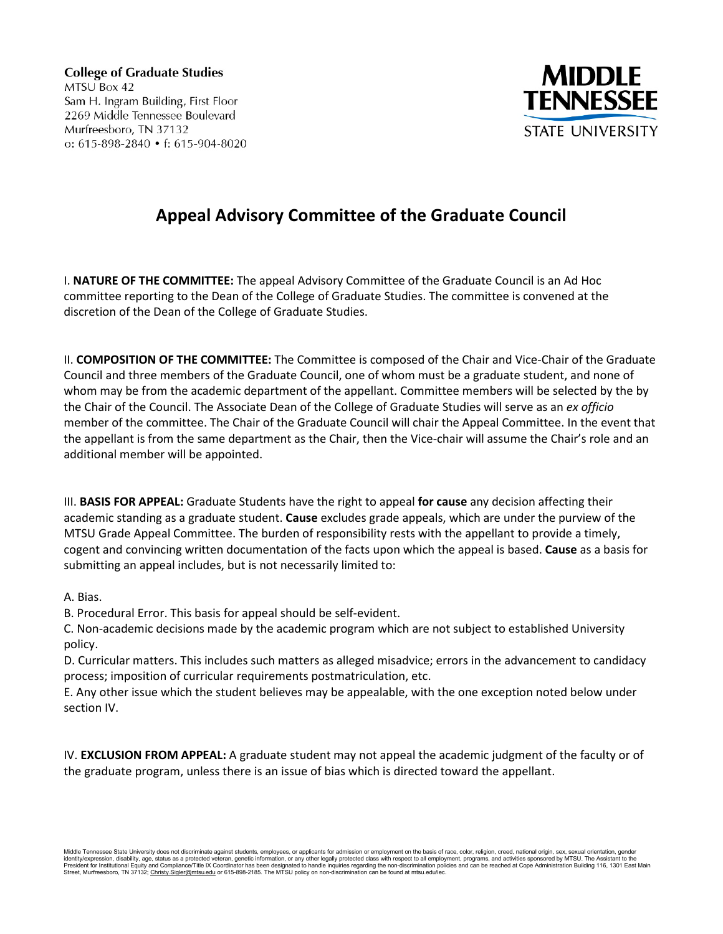**College of Graduate Studies** MTSU Box 42 Sam H. Ingram Building, First Floor 2269 Middle Tennessee Boulevard Murfreesboro, TN 37132 o:  $615-898-2840 \cdot f: 615-904-8020$ 



## **Appeal Advisory Committee of the Graduate Council**

I. **NATURE OF THE COMMITTEE:** The appeal Advisory Committee of the Graduate Council is an Ad Hoc committee reporting to the Dean of the College of Graduate Studies. The committee is convened at the discretion of the Dean of the College of Graduate Studies.

II. **COMPOSITION OF THE COMMITTEE:** The Committee is composed of the Chair and Vice‐Chair of the Graduate Council and three members of the Graduate Council, one of whom must be a graduate student, and none of whom may be from the academic department of the appellant. Committee members will be selected by the by the Chair of the Council. The Associate Dean of the College of Graduate Studies will serve as an *ex officio*  member of the committee. The Chair of the Graduate Council will chair the Appeal Committee. In the event that the appellant is from the same department as the Chair, then the Vice-chair will assume the Chair's role and an additional member will be appointed.

III. **BASIS FOR APPEAL:** Graduate Students have the right to appeal **for cause** any decision affecting their academic standing as a graduate student. **Cause** excludes grade appeals, which are under the purview of the MTSU Grade Appeal Committee. The burden of responsibility rests with the appellant to provide a timely, cogent and convincing written documentation of the facts upon which the appeal is based. **Cause** as a basis for submitting an appeal includes, but is not necessarily limited to:

A. Bias.

B. Procedural Error. This basis for appeal should be self‐evident.

C. Non‐academic decisions made by the academic program which are not subject to established University policy.

D. Curricular matters. This includes such matters as alleged misadvice; errors in the advancement to candidacy process; imposition of curricular requirements postmatriculation, etc.

E. Any other issue which the student believes may be appealable, with the one exception noted below under section IV.

IV. **EXCLUSION FROM APPEAL:** A graduate student may not appeal the academic judgment of the faculty or of the graduate program, unless there is an issue of bias which is directed toward the appellant.

Middle Tennessee State University does not discriminate against students, employees, or applicants for admission or employment on the basis of race, color, religion, creed, national origin, sex, sexual orientation, gender<br>